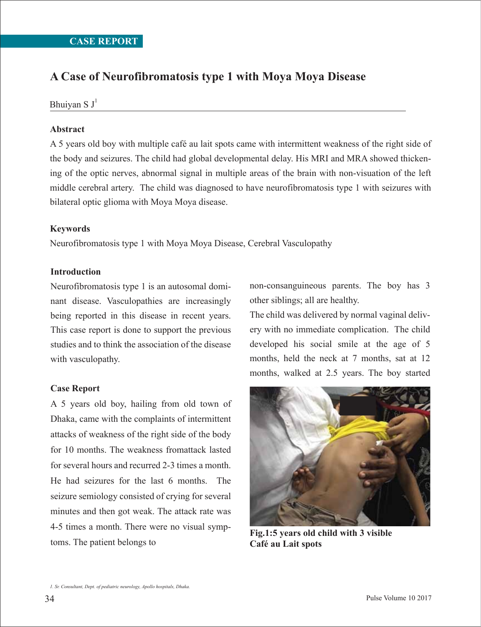# **A Case of Neurofibromatosis type 1 with Moya Moya Disease**

Bhuiyan S  $J^1$ 

## **Abstract**

A 5 years old boy with multiple café au lait spots came with intermittent weakness of the right side of the body and seizures. The child had global developmental delay. His MRI and MRA showed thickening of the optic nerves, abnormal signal in multiple areas of the brain with non-visuation of the left middle cerebral artery. The child was diagnosed to have neurofibromatosis type 1 with seizures with bilateral optic glioma with Moya Moya disease.

## **Keywords**

Neurofibromatosis type 1 with Moya Moya Disease, Cerebral Vasculopathy

## **Introduction**

Neurofibromatosis type 1 is an autosomal dominant disease. Vasculopathies are increasingly being reported in this disease in recent years. This case report is done to support the previous studies and to think the association of the disease with vasculopathy.

# **Case Report**

A 5 years old boy, hailing from old town of Dhaka, came with the complaints of intermittent attacks of weakness of the right side of the body for 10 months. The weakness fromattack lasted for several hours and recurred 2-3 times a month. He had seizures for the last 6 months. The seizure semiology consisted of crying for several minutes and then got weak. The attack rate was 4-5 times a month. There were no visual symptoms. The patient belongs to

non-consanguineous parents. The boy has 3 other siblings; all are healthy.

The child was delivered by normal vaginal delivery with no immediate complication. The child developed his social smile at the age of 5 months, held the neck at 7 months, sat at 12 months, walked at 2.5 years. The boy started



**Fig.1:5 years old child with 3 visible Café au Lait spots**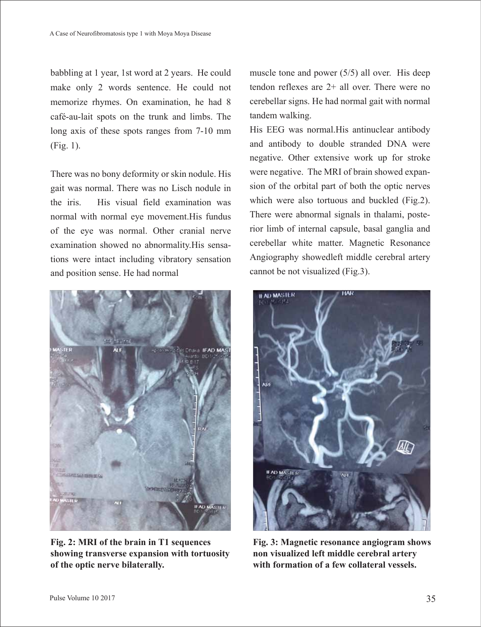babbling at 1 year, 1st word at 2 years. He could make only 2 words sentence. He could not memorize rhymes. On examination, he had 8 café-au-lait spots on the trunk and limbs. The long axis of these spots ranges from 7-10 mm (Fig. 1).

There was no bony deformity or skin nodule. His gait was normal. There was no Lisch nodule in the iris. His visual field examination was normal with normal eye movement.His fundus of the eye was normal. Other cranial nerve examination showed no abnormality.His sensations were intact including vibratory sensation and position sense. He had normal



**Fig. 2: MRI of the brain in T1 sequences showing transverse expansion with tortuosity of the optic nerve bilaterally.**

muscle tone and power (5/5) all over. His deep tendon reflexes are 2+ all over. There were no cerebellar signs. He had normal gait with normal tandem walking.

His EEG was normal.His antinuclear antibody and antibody to double stranded DNA were negative. Other extensive work up for stroke were negative. The MRI of brain showed expansion of the orbital part of both the optic nerves which were also tortuous and buckled (Fig.2). There were abnormal signals in thalami, posterior limb of internal capsule, basal ganglia and cerebellar white matter. Magnetic Resonance Angiography showedleft middle cerebral artery cannot be not visualized (Fig.3).



**Fig. 3: Magnetic resonance angiogram shows non visualized left middle cerebral artery with formation of a few collateral vessels.**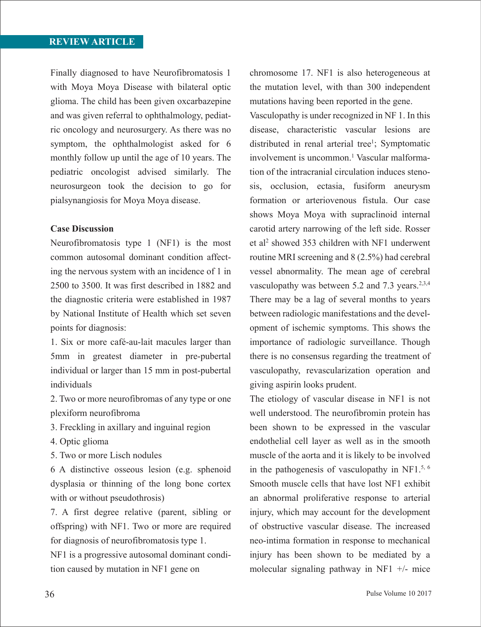# **REVIEW ARTICLE**

Finally diagnosed to have Neurofibromatosis 1 with Moya Moya Disease with bilateral optic glioma. The child has been given oxcarbazepine and was given referral to ophthalmology, pediatric oncology and neurosurgery. As there was no symptom, the ophthalmologist asked for 6 monthly follow up until the age of 10 years. The pediatric oncologist advised similarly. The neurosurgeon took the decision to go for pialsynangiosis for Moya Moya disease.

### **Case Discussion**

Neurofibromatosis type 1 (NF1) is the most common autosomal dominant condition affecting the nervous system with an incidence of 1 in 2500 to 3500. It was first described in 1882 and the diagnostic criteria were established in 1987 by National Institute of Health which set seven points for diagnosis:

1. Six or more café-au-lait macules larger than 5mm in greatest diameter in pre-pubertal individual or larger than 15 mm in post-pubertal individuals

2. Two or more neurofibromas of any type or one plexiform neurofibroma

- 3. Freckling in axillary and inguinal region
- 4. Optic glioma
- 5. Two or more Lisch nodules

6 A distinctive osseous lesion (e.g. sphenoid dysplasia or thinning of the long bone cortex with or without pseudothrosis)

7. A first degree relative (parent, sibling or offspring) with NF1. Two or more are required for diagnosis of neurofibromatosis type 1.

NF1 is a progressive autosomal dominant condition caused by mutation in NF1 gene on

chromosome 17. NF1 is also heterogeneous at the mutation level, with than 300 independent mutations having been reported in the gene.

Vasculopathy is under recognized in NF 1. In this disease, characteristic vascular lesions are distributed in renal arterial tree<sup>1</sup>; Symptomatic involvement is uncommon.<sup>1</sup> Vascular malformation of the intracranial circulation induces stenosis, occlusion, ectasia, fusiform aneurysm formation or arteriovenous fistula. Our case shows Moya Moya with supraclinoid internal carotid artery narrowing of the left side. Rosser et al<sup>2</sup> showed 353 children with NF1 underwent routine MRI screening and 8 (2.5%) had cerebral vessel abnormality. The mean age of cerebral vasculopathy was between 5.2 and 7.3 years. $2,3,4$ There may be a lag of several months to years between radiologic manifestations and the development of ischemic symptoms. This shows the importance of radiologic surveillance. Though there is no consensus regarding the treatment of vasculopathy, revascularization operation and giving aspirin looks prudent.

The etiology of vascular disease in NF1 is not well understood. The neurofibromin protein has been shown to be expressed in the vascular endothelial cell layer as well as in the smooth muscle of the aorta and it is likely to be involved in the pathogenesis of vasculopathy in NF1. $5, 6$ Smooth muscle cells that have lost NF1 exhibit an abnormal proliferative response to arterial injury, which may account for the development of obstructive vascular disease. The increased neo-intima formation in response to mechanical injury has been shown to be mediated by a molecular signaling pathway in NF1 +/- mice